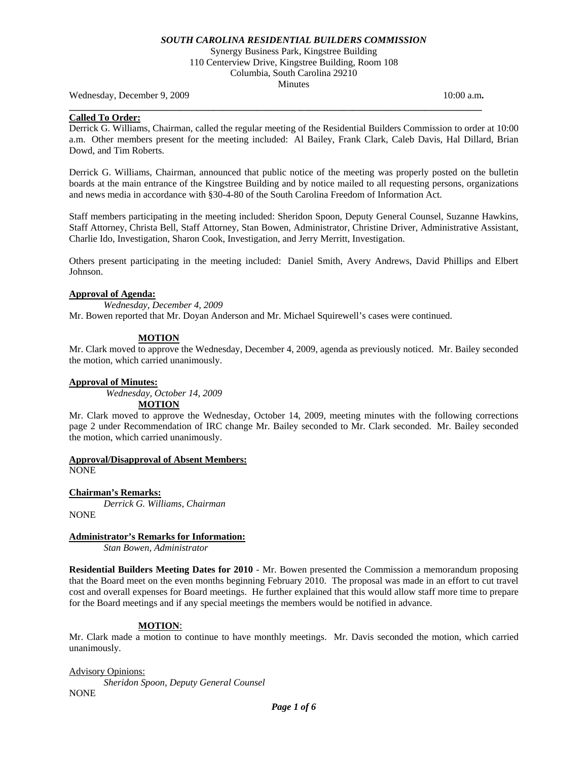Synergy Business Park, Kingstree Building 110 Centerview Drive, Kingstree Building, Room 108 Columbia, South Carolina 29210 **Minutes** 

Wednesday, December 9, 2009 10:00 a.m. **10:00 a.m. 10:00 a.m. 10:00 a.m.** 

### **Called To Order:**

Derrick G. Williams, Chairman, called the regular meeting of the Residential Builders Commission to order at 10:00 a.m. Other members present for the meeting included: Al Bailey, Frank Clark, Caleb Davis, Hal Dillard, Brian Dowd, and Tim Roberts.

**\_\_\_\_\_\_\_\_\_\_\_\_\_\_\_\_\_\_\_\_\_\_\_\_\_\_\_\_\_\_\_\_\_\_\_\_\_\_\_\_\_\_\_\_\_\_\_\_\_\_\_\_\_\_\_\_\_\_\_\_\_\_\_\_\_\_\_\_\_\_\_\_\_\_\_\_\_\_\_\_\_\_\_\_\_\_** 

Derrick G. Williams, Chairman, announced that public notice of the meeting was properly posted on the bulletin boards at the main entrance of the Kingstree Building and by notice mailed to all requesting persons, organizations and news media in accordance with §30-4-80 of the South Carolina Freedom of Information Act.

Staff members participating in the meeting included: Sheridon Spoon, Deputy General Counsel, Suzanne Hawkins, Staff Attorney, Christa Bell, Staff Attorney, Stan Bowen, Administrator, Christine Driver, Administrative Assistant, Charlie Ido, Investigation, Sharon Cook, Investigation, and Jerry Merritt, Investigation.

Others present participating in the meeting included: Daniel Smith, Avery Andrews, David Phillips and Elbert Johnson.

#### **Approval of Agenda:**

*Wednesday, December 4, 2009* 

Mr. Bowen reported that Mr. Doyan Anderson and Mr. Michael Squirewell's cases were continued.

## **MOTION**

Mr. Clark moved to approve the Wednesday, December 4, 2009, agenda as previously noticed. Mr. Bailey seconded the motion, which carried unanimously.

## **Approval of Minutes:**

*Wednesday, October 14, 2009*  **MOTION**

Mr. Clark moved to approve the Wednesday, October 14, 2009, meeting minutes with the following corrections page 2 under Recommendation of IRC change Mr. Bailey seconded to Mr. Clark seconded. Mr. Bailey seconded the motion, which carried unanimously.

**Approval/Disapproval of Absent Members:**

NONE

**Chairman's Remarks:** 

*Derrick G. Williams, Chairman* 

NONE

#### **Administrator's Remarks for Information:**

 *Stan Bowen, Administrator* 

**Residential Builders Meeting Dates for 2010** - Mr. Bowen presented the Commission a memorandum proposing that the Board meet on the even months beginning February 2010. The proposal was made in an effort to cut travel cost and overall expenses for Board meetings. He further explained that this would allow staff more time to prepare for the Board meetings and if any special meetings the members would be notified in advance.

#### **MOTION**:

Mr. Clark made a motion to continue to have monthly meetings. Mr. Davis seconded the motion, which carried unanimously.

Advisory Opinions:

*Sheridon Spoon, Deputy General Counsel*  **NONE**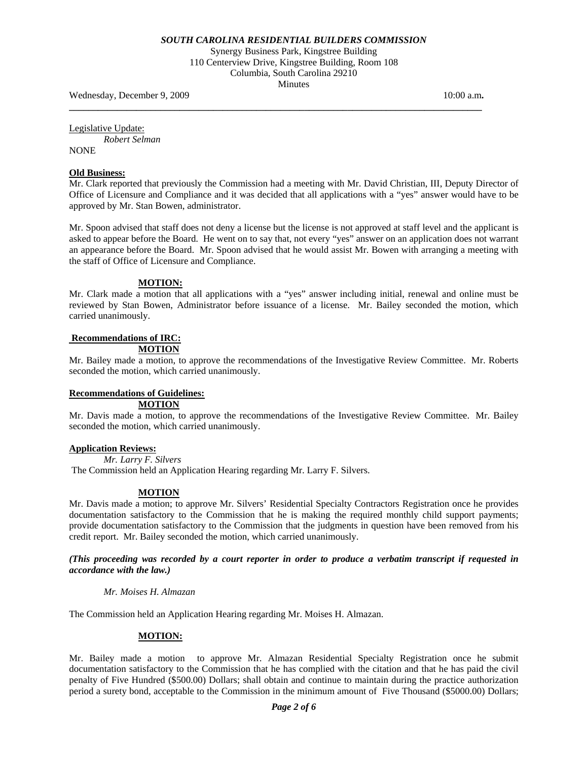Synergy Business Park, Kingstree Building 110 Centerview Drive, Kingstree Building, Room 108 Columbia, South Carolina 29210 Minutes

**\_\_\_\_\_\_\_\_\_\_\_\_\_\_\_\_\_\_\_\_\_\_\_\_\_\_\_\_\_\_\_\_\_\_\_\_\_\_\_\_\_\_\_\_\_\_\_\_\_\_\_\_\_\_\_\_\_\_\_\_\_\_\_\_\_\_\_\_\_\_\_\_\_\_\_\_\_\_\_\_\_\_\_\_\_\_** 

Wednesday, December 9, 2009 10:00 a.m. **10:00 a.m. 10:00 a.m. 10:00 a.m.** 

Legislative Update:

*Robert Selman* 

NONE

## **Old Business:**

Mr. Clark reported that previously the Commission had a meeting with Mr. David Christian, III, Deputy Director of Office of Licensure and Compliance and it was decided that all applications with a "yes" answer would have to be approved by Mr. Stan Bowen, administrator.

Mr. Spoon advised that staff does not deny a license but the license is not approved at staff level and the applicant is asked to appear before the Board. He went on to say that, not every "yes" answer on an application does not warrant an appearance before the Board. Mr. Spoon advised that he would assist Mr. Bowen with arranging a meeting with the staff of Office of Licensure and Compliance.

## **MOTION:**

Mr. Clark made a motion that all applications with a "yes" answer including initial, renewal and online must be reviewed by Stan Bowen, Administrator before issuance of a license. Mr. Bailey seconded the motion, which carried unanimously.

# **Recommendations of IRC:**

**MOTION**

Mr. Bailey made a motion, to approve the recommendations of the Investigative Review Committee. Mr. Roberts seconded the motion, which carried unanimously.

# **Recommendations of Guidelines:**

 **MOTION**

Mr. Davis made a motion, to approve the recommendations of the Investigative Review Committee. Mr. Bailey seconded the motion, which carried unanimously.

## **Application Reviews:**

 *Mr. Larry F. Silvers* 

The Commission held an Application Hearing regarding Mr. Larry F. Silvers.

## **MOTION**

Mr. Davis made a motion; to approve Mr. Silvers' Residential Specialty Contractors Registration once he provides documentation satisfactory to the Commission that he is making the required monthly child support payments; provide documentation satisfactory to the Commission that the judgments in question have been removed from his credit report. Mr. Bailey seconded the motion, which carried unanimously.

## *(This proceeding was recorded by a court reporter in order to produce a verbatim transcript if requested in accordance with the law.)*

## *Mr. Moises H. Almazan*

The Commission held an Application Hearing regarding Mr. Moises H. Almazan.

## **MOTION:**

Mr. Bailey made a motion to approve Mr. Almazan Residential Specialty Registration once he submit documentation satisfactory to the Commission that he has complied with the citation and that he has paid the civil penalty of Five Hundred (\$500.00) Dollars; shall obtain and continue to maintain during the practice authorization period a surety bond, acceptable to the Commission in the minimum amount of Five Thousand (\$5000.00) Dollars;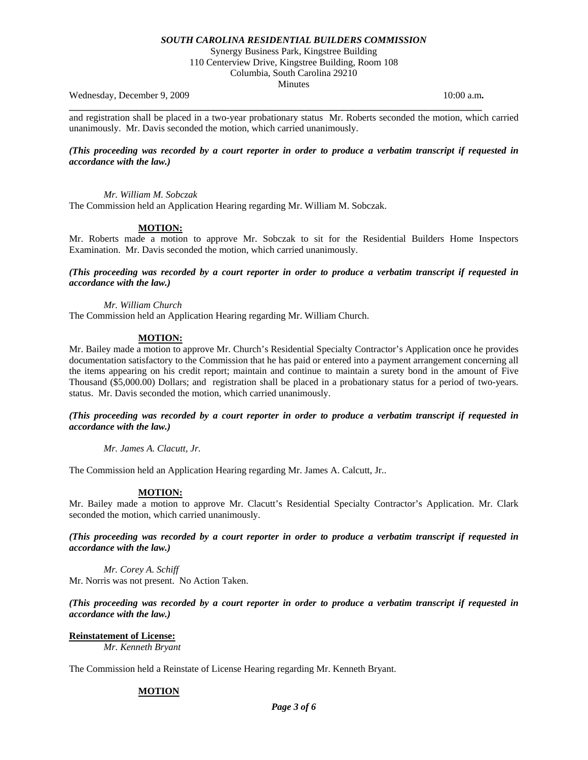Synergy Business Park, Kingstree Building

110 Centerview Drive, Kingstree Building, Room 108 Columbia, South Carolina 29210

Minutes

Wednesday, December 9, 2009 10:00 a.m. **10:00 a.m. 10:00 a.m. 10:00 a.m.** 

and registration shall be placed in a two-year probationary status Mr. Roberts seconded the motion, which carried unanimously. Mr. Davis seconded the motion, which carried unanimously.

**\_\_\_\_\_\_\_\_\_\_\_\_\_\_\_\_\_\_\_\_\_\_\_\_\_\_\_\_\_\_\_\_\_\_\_\_\_\_\_\_\_\_\_\_\_\_\_\_\_\_\_\_\_\_\_\_\_\_\_\_\_\_\_\_\_\_\_\_\_\_\_\_\_\_\_\_\_\_\_\_\_\_\_\_\_\_** 

## *(This proceeding was recorded by a court reporter in order to produce a verbatim transcript if requested in accordance with the law.)*

 *Mr. William M. Sobczak* 

The Commission held an Application Hearing regarding Mr. William M. Sobczak.

## **MOTION:**

Mr. Roberts made a motion to approve Mr. Sobczak to sit for the Residential Builders Home Inspectors Examination. Mr. Davis seconded the motion, which carried unanimously.

*(This proceeding was recorded by a court reporter in order to produce a verbatim transcript if requested in accordance with the law.)* 

*Mr. William Church* 

The Commission held an Application Hearing regarding Mr. William Church.

## **MOTION:**

Mr. Bailey made a motion to approve Mr. Church's Residential Specialty Contractor's Application once he provides documentation satisfactory to the Commission that he has paid or entered into a payment arrangement concerning all the items appearing on his credit report; maintain and continue to maintain a surety bond in the amount of Five Thousand (\$5,000.00) Dollars; and registration shall be placed in a probationary status for a period of two-years. status. Mr. Davis seconded the motion, which carried unanimously.

#### *(This proceeding was recorded by a court reporter in order to produce a verbatim transcript if requested in accordance with the law.)*

*Mr. James A. Clacutt, Jr.* 

The Commission held an Application Hearing regarding Mr. James A. Calcutt, Jr..

#### **MOTION:**

Mr. Bailey made a motion to approve Mr. Clacutt's Residential Specialty Contractor's Application. Mr. Clark seconded the motion, which carried unanimously.

*(This proceeding was recorded by a court reporter in order to produce a verbatim transcript if requested in accordance with the law.)* 

*Mr. Corey A. Schiff*  Mr. Norris was not present. No Action Taken.

## *(This proceeding was recorded by a court reporter in order to produce a verbatim transcript if requested in accordance with the law.)*

## **Reinstatement of License:**

*Mr. Kenneth Bryant* 

The Commission held a Reinstate of License Hearing regarding Mr. Kenneth Bryant.

## **MOTION**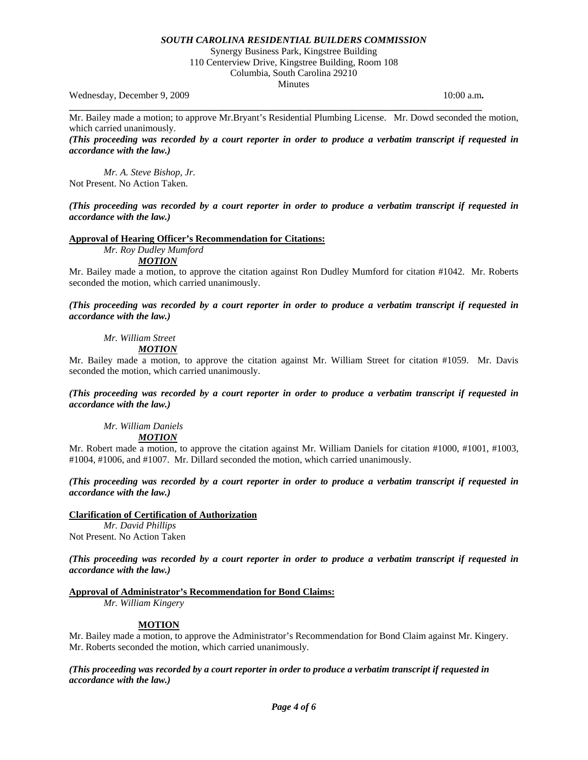Synergy Business Park, Kingstree Building

110 Centerview Drive, Kingstree Building, Room 108 Columbia, South Carolina 29210

**Minutes** 

Wednesday, December 9, 2009 10:00 a.m. **10:00 a.m. 10:00 a.m. 10:00 a.m.** 

Mr. Bailey made a motion; to approve Mr.Bryant's Residential Plumbing License. Mr. Dowd seconded the motion, which carried unanimously.

**\_\_\_\_\_\_\_\_\_\_\_\_\_\_\_\_\_\_\_\_\_\_\_\_\_\_\_\_\_\_\_\_\_\_\_\_\_\_\_\_\_\_\_\_\_\_\_\_\_\_\_\_\_\_\_\_\_\_\_\_\_\_\_\_\_\_\_\_\_\_\_\_\_\_\_\_\_\_\_\_\_\_\_\_\_\_** 

*(This proceeding was recorded by a court reporter in order to produce a verbatim transcript if requested in accordance with the law.)* 

*Mr. A. Steve Bishop, Jr.*  Not Present. No Action Taken.

*(This proceeding was recorded by a court reporter in order to produce a verbatim transcript if requested in accordance with the law.)* 

#### **Approval of Hearing Officer's Recommendation for Citations:**

 *Mr. Roy Dudley Mumford* 

 *MOTION*

Mr. Bailey made a motion, to approve the citation against Ron Dudley Mumford for citation #1042. Mr. Roberts seconded the motion, which carried unanimously.

*(This proceeding was recorded by a court reporter in order to produce a verbatim transcript if requested in accordance with the law.)* 

 *Mr. William Street* 

# *MOTION*

Mr. Bailey made a motion, to approve the citation against Mr. William Street for citation #1059. Mr. Davis seconded the motion, which carried unanimously.

*(This proceeding was recorded by a court reporter in order to produce a verbatim transcript if requested in accordance with the law.)* 

 *Mr. William Daniels MOTION*

Mr. Robert made a motion, to approve the citation against Mr. William Daniels for citation #1000, #1001, #1003, #1004, #1006, and #1007. Mr. Dillard seconded the motion, which carried unanimously.

*(This proceeding was recorded by a court reporter in order to produce a verbatim transcript if requested in accordance with the law.)* 

## **Clarification of Certification of Authorization**

 *Mr. David Phillips*  Not Present. No Action Taken

*(This proceeding was recorded by a court reporter in order to produce a verbatim transcript if requested in accordance with the law.)* 

## **Approval of Administrator's Recommendation for Bond Claims:**

*Mr. William Kingery* 

## **MOTION**

Mr. Bailey made a motion, to approve the Administrator's Recommendation for Bond Claim against Mr. Kingery. Mr. Roberts seconded the motion, which carried unanimously.

*(This proceeding was recorded by a court reporter in order to produce a verbatim transcript if requested in accordance with the law.)*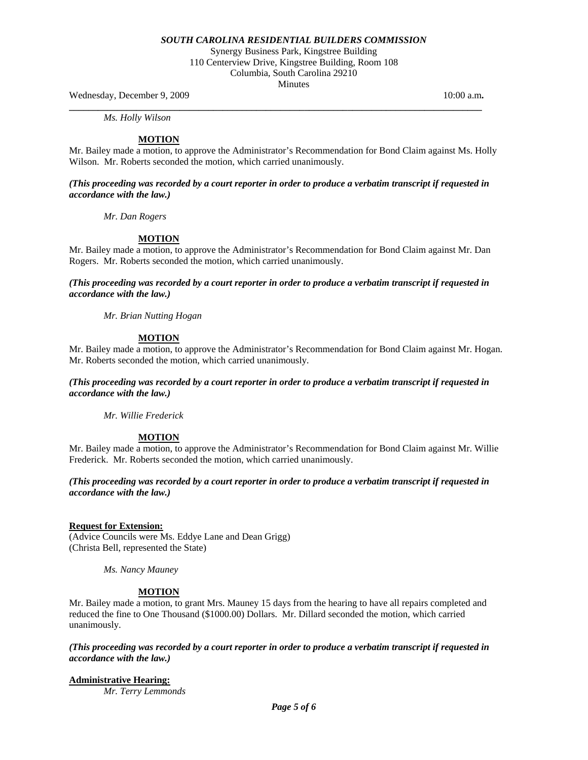Synergy Business Park, Kingstree Building 110 Centerview Drive, Kingstree Building, Room 108 Columbia, South Carolina 29210

**Minutes** 

Wednesday, December 9, 2009 10:00 a.m. **10:00 a.m. 10:00 a.m. 10:00 a.m.** 

 *Ms. Holly Wilson* 

## **MOTION**

Mr. Bailey made a motion, to approve the Administrator's Recommendation for Bond Claim against Ms. Holly Wilson. Mr. Roberts seconded the motion, which carried unanimously.

**\_\_\_\_\_\_\_\_\_\_\_\_\_\_\_\_\_\_\_\_\_\_\_\_\_\_\_\_\_\_\_\_\_\_\_\_\_\_\_\_\_\_\_\_\_\_\_\_\_\_\_\_\_\_\_\_\_\_\_\_\_\_\_\_\_\_\_\_\_\_\_\_\_\_\_\_\_\_\_\_\_\_\_\_\_\_** 

*(This proceeding was recorded by a court reporter in order to produce a verbatim transcript if requested in accordance with the law.)* 

 *Mr. Dan Rogers* 

## **MOTION**

Mr. Bailey made a motion, to approve the Administrator's Recommendation for Bond Claim against Mr. Dan Rogers. Mr. Roberts seconded the motion, which carried unanimously.

*(This proceeding was recorded by a court reporter in order to produce a verbatim transcript if requested in accordance with the law.)* 

 *Mr. Brian Nutting Hogan* 

## **MOTION**

Mr. Bailey made a motion, to approve the Administrator's Recommendation for Bond Claim against Mr. Hogan. Mr. Roberts seconded the motion, which carried unanimously.

*(This proceeding was recorded by a court reporter in order to produce a verbatim transcript if requested in accordance with the law.)* 

 *Mr. Willie Frederick* 

## **MOTION**

Mr. Bailey made a motion, to approve the Administrator's Recommendation for Bond Claim against Mr. Willie Frederick. Mr. Roberts seconded the motion, which carried unanimously.

## *(This proceeding was recorded by a court reporter in order to produce a verbatim transcript if requested in accordance with the law.)*

#### **Request for Extension:**

(Advice Councils were Ms. Eddye Lane and Dean Grigg) (Christa Bell, represented the State)

*Ms. Nancy Mauney* 

#### **MOTION**

Mr. Bailey made a motion, to grant Mrs. Mauney 15 days from the hearing to have all repairs completed and reduced the fine to One Thousand (\$1000.00) Dollars. Mr. Dillard seconded the motion, which carried unanimously.

*(This proceeding was recorded by a court reporter in order to produce a verbatim transcript if requested in accordance with the law.)* 

**Administrative Hearing:**

*Mr. Terry Lemmonds*